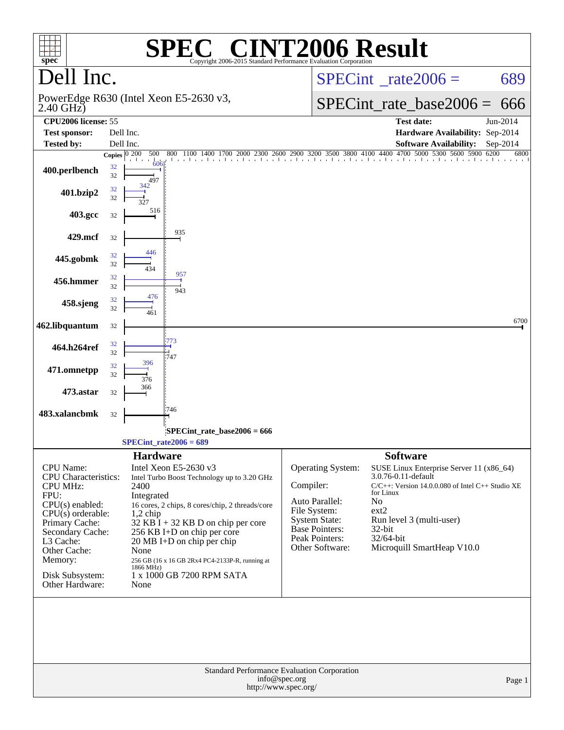| $spec^*$                                                                                                                                                                                                                                   |                         |                                                               | <b>C® CINT2006 Result</b><br><b>SPE</b><br>Copyright 2006-2015 Standard Performance Evaluation Corporation                                                                                                                                                                                                   |               |                                                                                                                                    |                                                                                                                                                                                                                                                |          |
|--------------------------------------------------------------------------------------------------------------------------------------------------------------------------------------------------------------------------------------------|-------------------------|---------------------------------------------------------------|--------------------------------------------------------------------------------------------------------------------------------------------------------------------------------------------------------------------------------------------------------------------------------------------------------------|---------------|------------------------------------------------------------------------------------------------------------------------------------|------------------------------------------------------------------------------------------------------------------------------------------------------------------------------------------------------------------------------------------------|----------|
| Dell Inc.                                                                                                                                                                                                                                  |                         |                                                               |                                                                                                                                                                                                                                                                                                              |               | $SPECint^{\circ}$ rate $2006 =$                                                                                                    | 689                                                                                                                                                                                                                                            |          |
| PowerEdge R630 (Intel Xeon E5-2630 v3,<br>$2.40$ GHz)                                                                                                                                                                                      |                         |                                                               |                                                                                                                                                                                                                                                                                                              |               | $SPECint_rate\_base2006 =$                                                                                                         | 666                                                                                                                                                                                                                                            |          |
| CPU <sub>2006</sub> license: 55<br><b>Test sponsor:</b>                                                                                                                                                                                    | Dell Inc.               |                                                               |                                                                                                                                                                                                                                                                                                              |               |                                                                                                                                    | <b>Test date:</b><br>Hardware Availability: Sep-2014                                                                                                                                                                                           | Jun-2014 |
| <b>Tested by:</b>                                                                                                                                                                                                                          | Dell Inc.               |                                                               |                                                                                                                                                                                                                                                                                                              |               |                                                                                                                                    | <b>Software Availability:</b>                                                                                                                                                                                                                  | Sep-2014 |
|                                                                                                                                                                                                                                            | Copies $\boxed{0\ 200}$ | 500                                                           | $1100\ 1400\ 1700\ 2000\ 2300\ 2600\ 2900\ 3200\ 3500\ 3800\ 4100\ 4400\ 4700$<br>800                                                                                                                                                                                                                        |               |                                                                                                                                    | 5000 5300 5600 5900 6200                                                                                                                                                                                                                       | 6800     |
| 400.perlbench                                                                                                                                                                                                                              | 32<br>32                | 606<br>497                                                    |                                                                                                                                                                                                                                                                                                              |               |                                                                                                                                    |                                                                                                                                                                                                                                                |          |
| 401.bzip2                                                                                                                                                                                                                                  | 32<br>32                |                                                               |                                                                                                                                                                                                                                                                                                              |               |                                                                                                                                    |                                                                                                                                                                                                                                                |          |
| 403.gcc                                                                                                                                                                                                                                    | 32                      | 516                                                           |                                                                                                                                                                                                                                                                                                              |               |                                                                                                                                    |                                                                                                                                                                                                                                                |          |
| 429.mcf                                                                                                                                                                                                                                    | 32                      |                                                               | 935                                                                                                                                                                                                                                                                                                          |               |                                                                                                                                    |                                                                                                                                                                                                                                                |          |
| 445.gobmk                                                                                                                                                                                                                                  | 32<br>32                | 446                                                           |                                                                                                                                                                                                                                                                                                              |               |                                                                                                                                    |                                                                                                                                                                                                                                                |          |
| 456.hmmer                                                                                                                                                                                                                                  | 32<br>32                |                                                               | 957<br>943                                                                                                                                                                                                                                                                                                   |               |                                                                                                                                    |                                                                                                                                                                                                                                                |          |
| 458.sjeng                                                                                                                                                                                                                                  | 32<br>32                | 476                                                           |                                                                                                                                                                                                                                                                                                              |               |                                                                                                                                    |                                                                                                                                                                                                                                                |          |
| 462.libquantum                                                                                                                                                                                                                             | 32                      |                                                               |                                                                                                                                                                                                                                                                                                              |               |                                                                                                                                    |                                                                                                                                                                                                                                                | 6700     |
| 464.h264ref                                                                                                                                                                                                                                | 32<br>32                |                                                               | 747                                                                                                                                                                                                                                                                                                          |               |                                                                                                                                    |                                                                                                                                                                                                                                                |          |
| 471.omnetpp                                                                                                                                                                                                                                | 32<br>32                | 396<br>376                                                    |                                                                                                                                                                                                                                                                                                              |               |                                                                                                                                    |                                                                                                                                                                                                                                                |          |
| 473.astar                                                                                                                                                                                                                                  | 32                      | 366                                                           |                                                                                                                                                                                                                                                                                                              |               |                                                                                                                                    |                                                                                                                                                                                                                                                |          |
| 483.xalancbmk                                                                                                                                                                                                                              | 32                      |                                                               | 746                                                                                                                                                                                                                                                                                                          |               |                                                                                                                                    |                                                                                                                                                                                                                                                |          |
|                                                                                                                                                                                                                                            |                         |                                                               | $SPECint_rate_base2006 = 666$<br>$SPECint_rate2006 = 689$                                                                                                                                                                                                                                                    |               |                                                                                                                                    |                                                                                                                                                                                                                                                |          |
|                                                                                                                                                                                                                                            |                         | <b>Hardware</b>                                               |                                                                                                                                                                                                                                                                                                              |               |                                                                                                                                    | <b>Software</b>                                                                                                                                                                                                                                |          |
| <b>CPU</b> Name:<br><b>CPU</b> Characteristics:<br><b>CPU MHz:</b><br>FPU:<br>$CPU(s)$ enabled:<br>$CPU(s)$ orderable:<br>Primary Cache:<br>Secondary Cache:<br>L3 Cache:<br>Other Cache:<br>Memory:<br>Disk Subsystem:<br>Other Hardware: |                         | 2400<br>Integrated<br>$1,2$ chip<br>None<br>1866 MHz)<br>None | Intel Xeon E5-2630 v3<br>Intel Turbo Boost Technology up to 3.20 GHz<br>16 cores, 2 chips, 8 cores/chip, 2 threads/core<br>$32$ KB I + 32 KB D on chip per core<br>256 KB I+D on chip per core<br>20 MB I+D on chip per chip<br>256 GB (16 x 16 GB 2Rx4 PC4-2133P-R, running at<br>1 x 1000 GB 7200 RPM SATA | Compiler:     | Operating System:<br>Auto Parallel:<br>File System:<br><b>System State:</b><br>Base Pointers:<br>Peak Pointers:<br>Other Software: | SUSE Linux Enterprise Server 11 (x86_64)<br>3.0.76-0.11-default<br>C/C++: Version 14.0.0.080 of Intel C++ Studio XE<br>for Linux<br>N <sub>o</sub><br>ext2<br>Run level 3 (multi-user)<br>$32$ -bit<br>32/64-bit<br>Microquill SmartHeap V10.0 |          |
|                                                                                                                                                                                                                                            |                         |                                                               | Standard Performance Evaluation Corporation<br>http://www.spec.org/                                                                                                                                                                                                                                          | info@spec.org |                                                                                                                                    |                                                                                                                                                                                                                                                | Page 1   |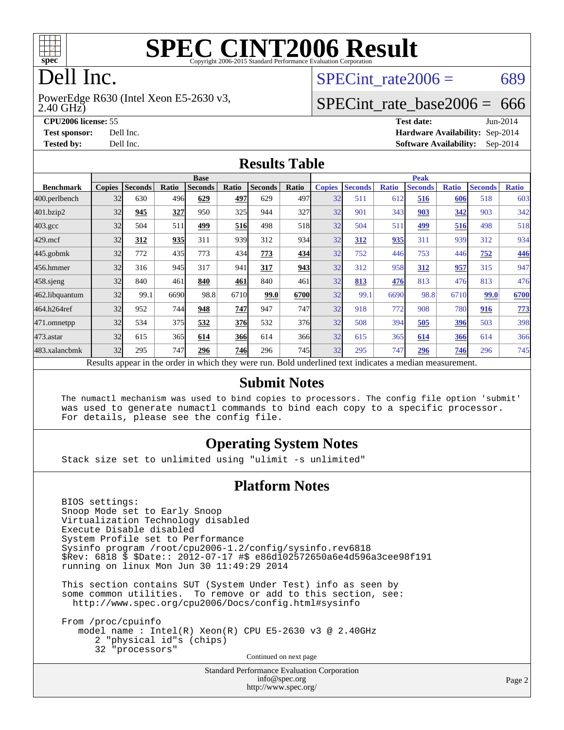

# **[SPEC CINT2006 Result](http://www.spec.org/auto/cpu2006/Docs/result-fields.html#SPECCINT2006Result)**

# Dell Inc.

2.40 GHz) PowerEdge R630 (Intel Xeon E5-2630 v3, SPECint rate $2006 = 689$ 

### [SPECint\\_rate\\_base2006 =](http://www.spec.org/auto/cpu2006/Docs/result-fields.html#SPECintratebase2006) 666

**[CPU2006 license:](http://www.spec.org/auto/cpu2006/Docs/result-fields.html#CPU2006license)** 55 **[Test date:](http://www.spec.org/auto/cpu2006/Docs/result-fields.html#Testdate)** Jun-2014 **[Test sponsor:](http://www.spec.org/auto/cpu2006/Docs/result-fields.html#Testsponsor)** Dell Inc. **[Hardware Availability:](http://www.spec.org/auto/cpu2006/Docs/result-fields.html#HardwareAvailability)** Sep-2014 **[Tested by:](http://www.spec.org/auto/cpu2006/Docs/result-fields.html#Testedby)** Dell Inc. **[Software Availability:](http://www.spec.org/auto/cpu2006/Docs/result-fields.html#SoftwareAvailability)** Sep-2014

#### **[Results Table](http://www.spec.org/auto/cpu2006/Docs/result-fields.html#ResultsTable)**

|                                                                                                          | <b>Base</b>   |                |       |                |            |                |       | <b>Peak</b>   |                |              |                |              |                |              |
|----------------------------------------------------------------------------------------------------------|---------------|----------------|-------|----------------|------------|----------------|-------|---------------|----------------|--------------|----------------|--------------|----------------|--------------|
| <b>Benchmark</b>                                                                                         | <b>Copies</b> | <b>Seconds</b> | Ratio | <b>Seconds</b> | Ratio      | <b>Seconds</b> | Ratio | <b>Copies</b> | <b>Seconds</b> | <b>Ratio</b> | <b>Seconds</b> | <b>Ratio</b> | <b>Seconds</b> | <b>Ratio</b> |
| $ 400.\text{perlbench}$                                                                                  | 32            | 630            | 496   | 629            | 497        | 629            | 497   | 32            | 511            | 612          | 516            | 606          | 518            | 603          |
| 401.bzip2                                                                                                | 32            | 945            | 327   | 950            | 325        | 944            | 327   | 32            | 901            | 343          | 903            | 342          | 903            | 342          |
| $403.\mathrm{gcc}$                                                                                       | 32            | 504            | 511   | 499            | 516        | 498            | 518   | 32            | 504            | 511          | 499            | 516          | 498            | 518          |
| $429$ .mcf                                                                                               | 32            | 312            | 935   | 311            | 939        | 312            | 934   | 32            | 312            | 935          | 311            | 939          | 312            | 934          |
| $445$ .gobmk                                                                                             | 32            | 772            | 435   | 773            | 434        | 773            | 434   | 32            | 752            | 446          | 753            | 446          | 752            | 446          |
| 456.hmmer                                                                                                | 32            | 316            | 945   | 317            | 941        | 317            | 943   | 32            | 312            | 958          | 312            | 957          | 315            | 947          |
| 458.sjeng                                                                                                | 32            | 840            | 461   | 840            | 461        | 840            | 461   | 32            | 813            | 476          | 813            | 476          | 813            | 476          |
| 462.libquantum                                                                                           | 32            | 99.1           | 6690  | 98.8           | 6710       | 99.0           | 6700  | 32            | 99.1           | 6690         | 98.8           | 6710         | 99.0           | 6700         |
| 464.h264ref                                                                                              | 32            | 952            | 744   | 948            | 747        | 947            | 747   | 32            | 918            | 772          | 908            | 780          | 916            | <u>773</u>   |
| 471.omnetpp                                                                                              | 32            | 534            | 375   | 532            | 376        | 532            | 376   | 32            | 508            | 394          | 505            | <u>396</u>   | 503            | 398          |
| $473$ . astar                                                                                            | 32            | 615            | 365   | 614            | <b>366</b> | 614            | 366   | 32            | 615            | 365          | 614            | 366          | 614            | 366          |
| 483.xalancbmk                                                                                            | 32            | 295            | 747   | 296            | <b>746</b> | 296            | 745   | 32            | 295            | 747          | 296            | 746          | 296            | 745          |
| Results appear in the order in which they were run. Bold underlined text indicates a median measurement. |               |                |       |                |            |                |       |               |                |              |                |              |                |              |

#### **[Submit Notes](http://www.spec.org/auto/cpu2006/Docs/result-fields.html#SubmitNotes)**

 The numactl mechanism was used to bind copies to processors. The config file option 'submit' was used to generate numactl commands to bind each copy to a specific processor. For details, please see the config file.

#### **[Operating System Notes](http://www.spec.org/auto/cpu2006/Docs/result-fields.html#OperatingSystemNotes)**

Stack size set to unlimited using "ulimit -s unlimited"

#### **[Platform Notes](http://www.spec.org/auto/cpu2006/Docs/result-fields.html#PlatformNotes)**

 BIOS settings: Snoop Mode set to Early Snoop Virtualization Technology disabled Execute Disable disabled System Profile set to Performance Sysinfo program /root/cpu2006-1.2/config/sysinfo.rev6818 \$Rev: 6818 \$ \$Date:: 2012-07-17 #\$ e86d102572650a6e4d596a3cee98f191 running on linux Mon Jun 30 11:49:29 2014

 This section contains SUT (System Under Test) info as seen by some common utilities. To remove or add to this section, see: <http://www.spec.org/cpu2006/Docs/config.html#sysinfo>

 From /proc/cpuinfo model name : Intel(R) Xeon(R) CPU E5-2630 v3 @ 2.40GHz 2 "physical id"s (chips) 32 "processors" Continued on next page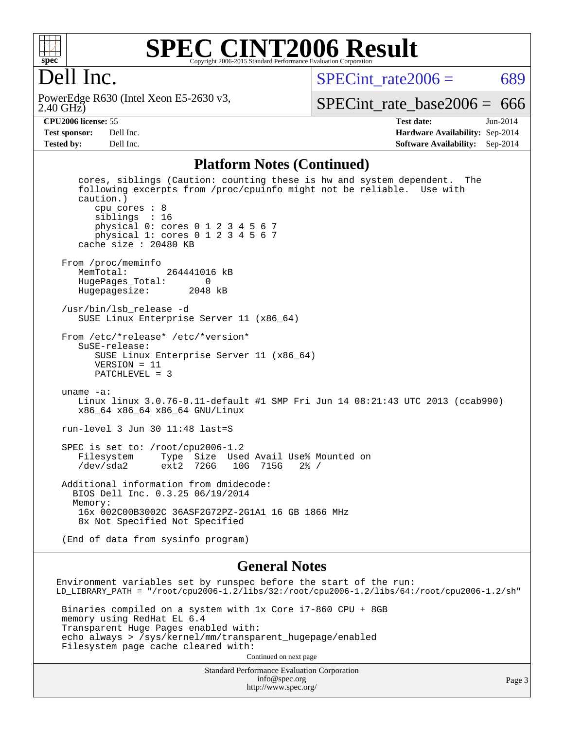

#### **[SPEC CINT2006 Result](http://www.spec.org/auto/cpu2006/Docs/result-fields.html#SPECCINT2006Result)** Copyright 2006-2015 Standard Performance Evaluation Corporation

# Dell Inc.

2.40 GHz) PowerEdge R630 (Intel Xeon E5-2630 v3, SPECint rate $2006 = 689$ 

[SPECint\\_rate\\_base2006 =](http://www.spec.org/auto/cpu2006/Docs/result-fields.html#SPECintratebase2006)  $666$ 

**[CPU2006 license:](http://www.spec.org/auto/cpu2006/Docs/result-fields.html#CPU2006license)** 55 **[Test date:](http://www.spec.org/auto/cpu2006/Docs/result-fields.html#Testdate)** Jun-2014 **[Test sponsor:](http://www.spec.org/auto/cpu2006/Docs/result-fields.html#Testsponsor)** Dell Inc. **[Hardware Availability:](http://www.spec.org/auto/cpu2006/Docs/result-fields.html#HardwareAvailability)** Sep-2014 **[Tested by:](http://www.spec.org/auto/cpu2006/Docs/result-fields.html#Testedby)** Dell Inc. **[Software Availability:](http://www.spec.org/auto/cpu2006/Docs/result-fields.html#SoftwareAvailability)** Sep-2014

#### **[Platform Notes \(Continued\)](http://www.spec.org/auto/cpu2006/Docs/result-fields.html#PlatformNotes)**

 cores, siblings (Caution: counting these is hw and system dependent. The following excerpts from /proc/cpuinfo might not be reliable. Use with caution.) cpu cores : 8 siblings : 16 physical 0: cores 0 1 2 3 4 5 6 7 physical 1: cores 0 1 2 3 4 5 6 7 cache size : 20480 KB From /proc/meminfo<br>MemTotal: 264441016 kB HugePages\_Total: 0 Hugepagesize: 2048 kB /usr/bin/lsb\_release -d SUSE Linux Enterprise Server 11 (x86\_64) From /etc/\*release\* /etc/\*version\* SuSE-release: SUSE Linux Enterprise Server 11 (x86\_64) VERSION = 11 PATCHLEVEL = 3 uname -a: Linux linux 3.0.76-0.11-default #1 SMP Fri Jun 14 08:21:43 UTC 2013 (ccab990) x86\_64 x86\_64 x86\_64 GNU/Linux run-level 3 Jun 30 11:48 last=S SPEC is set to: /root/cpu2006-1.2 Filesystem Type Size Used Avail Use% Mounted on /dev/sda2 ext2 726G 10G 715G 2% / Additional information from dmidecode: BIOS Dell Inc. 0.3.25 06/19/2014 Memory: 16x 002C00B3002C 36ASF2G72PZ-2G1A1 16 GB 1866 MHz 8x Not Specified Not Specified (End of data from sysinfo program)

#### **[General Notes](http://www.spec.org/auto/cpu2006/Docs/result-fields.html#GeneralNotes)**

Environment variables set by runspec before the start of the run: LD\_LIBRARY\_PATH = "/root/cpu2006-1.2/libs/32:/root/cpu2006-1.2/libs/64:/root/cpu2006-1.2/sh" Binaries compiled on a system with 1x Core i7-860 CPU + 8GB memory using RedHat EL 6.4 Transparent Huge Pages enabled with: echo always > /sys/kernel/mm/transparent\_hugepage/enabled Filesystem page cache cleared with: Continued on next page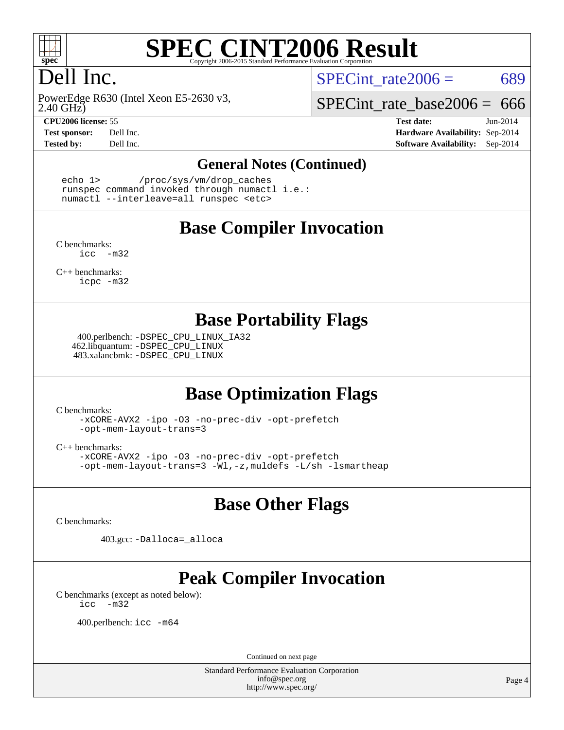

# **[SPEC CINT2006 Result](http://www.spec.org/auto/cpu2006/Docs/result-fields.html#SPECCINT2006Result)**

# Dell Inc.

2.40 GHz) PowerEdge R630 (Intel Xeon E5-2630 v3,

SPECint rate $2006 = 689$ 

SPECint rate base  $2006 = 666$ 

**[CPU2006 license:](http://www.spec.org/auto/cpu2006/Docs/result-fields.html#CPU2006license)** 55 **[Test date:](http://www.spec.org/auto/cpu2006/Docs/result-fields.html#Testdate)** Jun-2014 **[Test sponsor:](http://www.spec.org/auto/cpu2006/Docs/result-fields.html#Testsponsor)** Dell Inc. **[Hardware Availability:](http://www.spec.org/auto/cpu2006/Docs/result-fields.html#HardwareAvailability)** Sep-2014 **[Tested by:](http://www.spec.org/auto/cpu2006/Docs/result-fields.html#Testedby)** Dell Inc. **[Software Availability:](http://www.spec.org/auto/cpu2006/Docs/result-fields.html#SoftwareAvailability)** Sep-2014

#### **[General Notes \(Continued\)](http://www.spec.org/auto/cpu2006/Docs/result-fields.html#GeneralNotes)**

 echo 1> /proc/sys/vm/drop\_caches runspec command invoked through numactl i.e.: numactl --interleave=all runspec <etc>

#### **[Base Compiler Invocation](http://www.spec.org/auto/cpu2006/Docs/result-fields.html#BaseCompilerInvocation)**

[C benchmarks](http://www.spec.org/auto/cpu2006/Docs/result-fields.html#Cbenchmarks): [icc -m32](http://www.spec.org/cpu2006/results/res2014q3/cpu2006-20140909-31364.flags.html#user_CCbase_intel_icc_5ff4a39e364c98233615fdd38438c6f2)

[C++ benchmarks:](http://www.spec.org/auto/cpu2006/Docs/result-fields.html#CXXbenchmarks) [icpc -m32](http://www.spec.org/cpu2006/results/res2014q3/cpu2006-20140909-31364.flags.html#user_CXXbase_intel_icpc_4e5a5ef1a53fd332b3c49e69c3330699)

#### **[Base Portability Flags](http://www.spec.org/auto/cpu2006/Docs/result-fields.html#BasePortabilityFlags)**

 400.perlbench: [-DSPEC\\_CPU\\_LINUX\\_IA32](http://www.spec.org/cpu2006/results/res2014q3/cpu2006-20140909-31364.flags.html#b400.perlbench_baseCPORTABILITY_DSPEC_CPU_LINUX_IA32) 462.libquantum: [-DSPEC\\_CPU\\_LINUX](http://www.spec.org/cpu2006/results/res2014q3/cpu2006-20140909-31364.flags.html#b462.libquantum_baseCPORTABILITY_DSPEC_CPU_LINUX) 483.xalancbmk: [-DSPEC\\_CPU\\_LINUX](http://www.spec.org/cpu2006/results/res2014q3/cpu2006-20140909-31364.flags.html#b483.xalancbmk_baseCXXPORTABILITY_DSPEC_CPU_LINUX)

## **[Base Optimization Flags](http://www.spec.org/auto/cpu2006/Docs/result-fields.html#BaseOptimizationFlags)**

[C benchmarks](http://www.spec.org/auto/cpu2006/Docs/result-fields.html#Cbenchmarks):

[-xCORE-AVX2](http://www.spec.org/cpu2006/results/res2014q3/cpu2006-20140909-31364.flags.html#user_CCbase_f-xAVX2_5f5fc0cbe2c9f62c816d3e45806c70d7) [-ipo](http://www.spec.org/cpu2006/results/res2014q3/cpu2006-20140909-31364.flags.html#user_CCbase_f-ipo) [-O3](http://www.spec.org/cpu2006/results/res2014q3/cpu2006-20140909-31364.flags.html#user_CCbase_f-O3) [-no-prec-div](http://www.spec.org/cpu2006/results/res2014q3/cpu2006-20140909-31364.flags.html#user_CCbase_f-no-prec-div) [-opt-prefetch](http://www.spec.org/cpu2006/results/res2014q3/cpu2006-20140909-31364.flags.html#user_CCbase_f-opt-prefetch) [-opt-mem-layout-trans=3](http://www.spec.org/cpu2006/results/res2014q3/cpu2006-20140909-31364.flags.html#user_CCbase_f-opt-mem-layout-trans_a7b82ad4bd7abf52556d4961a2ae94d5)

[C++ benchmarks:](http://www.spec.org/auto/cpu2006/Docs/result-fields.html#CXXbenchmarks)

[-xCORE-AVX2](http://www.spec.org/cpu2006/results/res2014q3/cpu2006-20140909-31364.flags.html#user_CXXbase_f-xAVX2_5f5fc0cbe2c9f62c816d3e45806c70d7) [-ipo](http://www.spec.org/cpu2006/results/res2014q3/cpu2006-20140909-31364.flags.html#user_CXXbase_f-ipo) [-O3](http://www.spec.org/cpu2006/results/res2014q3/cpu2006-20140909-31364.flags.html#user_CXXbase_f-O3) [-no-prec-div](http://www.spec.org/cpu2006/results/res2014q3/cpu2006-20140909-31364.flags.html#user_CXXbase_f-no-prec-div) [-opt-prefetch](http://www.spec.org/cpu2006/results/res2014q3/cpu2006-20140909-31364.flags.html#user_CXXbase_f-opt-prefetch) [-opt-mem-layout-trans=3](http://www.spec.org/cpu2006/results/res2014q3/cpu2006-20140909-31364.flags.html#user_CXXbase_f-opt-mem-layout-trans_a7b82ad4bd7abf52556d4961a2ae94d5) [-Wl,-z,muldefs](http://www.spec.org/cpu2006/results/res2014q3/cpu2006-20140909-31364.flags.html#user_CXXbase_link_force_multiple1_74079c344b956b9658436fd1b6dd3a8a) [-L/sh -lsmartheap](http://www.spec.org/cpu2006/results/res2014q3/cpu2006-20140909-31364.flags.html#user_CXXbase_SmartHeap_32f6c82aa1ed9c52345d30cf6e4a0499)

#### **[Base Other Flags](http://www.spec.org/auto/cpu2006/Docs/result-fields.html#BaseOtherFlags)**

[C benchmarks](http://www.spec.org/auto/cpu2006/Docs/result-fields.html#Cbenchmarks):

403.gcc: [-Dalloca=\\_alloca](http://www.spec.org/cpu2006/results/res2014q3/cpu2006-20140909-31364.flags.html#b403.gcc_baseEXTRA_CFLAGS_Dalloca_be3056838c12de2578596ca5467af7f3)

# **[Peak Compiler Invocation](http://www.spec.org/auto/cpu2006/Docs/result-fields.html#PeakCompilerInvocation)**

[C benchmarks \(except as noted below\)](http://www.spec.org/auto/cpu2006/Docs/result-fields.html#Cbenchmarksexceptasnotedbelow): [icc -m32](http://www.spec.org/cpu2006/results/res2014q3/cpu2006-20140909-31364.flags.html#user_CCpeak_intel_icc_5ff4a39e364c98233615fdd38438c6f2)

400.perlbench: [icc -m64](http://www.spec.org/cpu2006/results/res2014q3/cpu2006-20140909-31364.flags.html#user_peakCCLD400_perlbench_intel_icc_64bit_bda6cc9af1fdbb0edc3795bac97ada53)

Continued on next page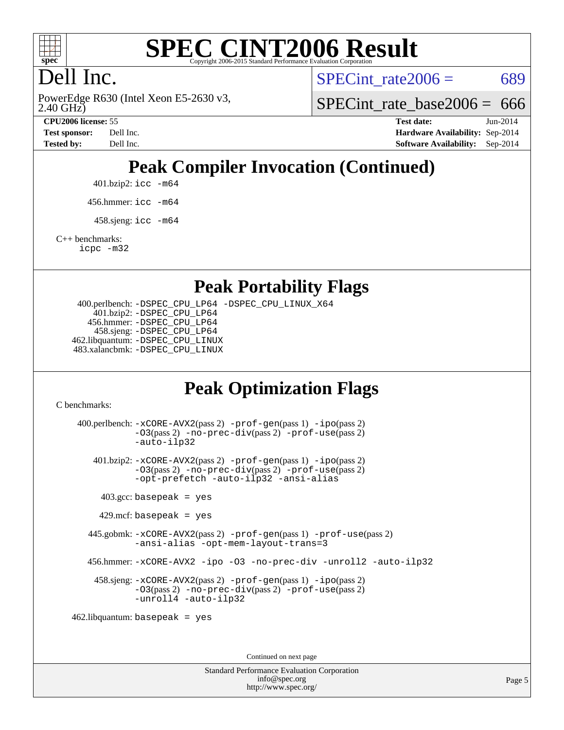

# **[SPEC CINT2006 Result](http://www.spec.org/auto/cpu2006/Docs/result-fields.html#SPECCINT2006Result)**

# Dell Inc.

2.40 GHz) PowerEdge R630 (Intel Xeon E5-2630 v3, SPECint rate $2006 = 689$ 

SPECint rate base  $2006 = 666$ 

**[CPU2006 license:](http://www.spec.org/auto/cpu2006/Docs/result-fields.html#CPU2006license)** 55 **[Test date:](http://www.spec.org/auto/cpu2006/Docs/result-fields.html#Testdate)** Jun-2014 **[Test sponsor:](http://www.spec.org/auto/cpu2006/Docs/result-fields.html#Testsponsor)** Dell Inc. **[Hardware Availability:](http://www.spec.org/auto/cpu2006/Docs/result-fields.html#HardwareAvailability)** Sep-2014 **[Tested by:](http://www.spec.org/auto/cpu2006/Docs/result-fields.html#Testedby)** Dell Inc. **[Software Availability:](http://www.spec.org/auto/cpu2006/Docs/result-fields.html#SoftwareAvailability)** Sep-2014

# **[Peak Compiler Invocation \(Continued\)](http://www.spec.org/auto/cpu2006/Docs/result-fields.html#PeakCompilerInvocation)**

401.bzip2: [icc -m64](http://www.spec.org/cpu2006/results/res2014q3/cpu2006-20140909-31364.flags.html#user_peakCCLD401_bzip2_intel_icc_64bit_bda6cc9af1fdbb0edc3795bac97ada53)

456.hmmer: [icc -m64](http://www.spec.org/cpu2006/results/res2014q3/cpu2006-20140909-31364.flags.html#user_peakCCLD456_hmmer_intel_icc_64bit_bda6cc9af1fdbb0edc3795bac97ada53)

 $458 \text{.}$ sjeng: icc  $-\text{m64}$ 

[C++ benchmarks:](http://www.spec.org/auto/cpu2006/Docs/result-fields.html#CXXbenchmarks)

[icpc -m32](http://www.spec.org/cpu2006/results/res2014q3/cpu2006-20140909-31364.flags.html#user_CXXpeak_intel_icpc_4e5a5ef1a53fd332b3c49e69c3330699)

#### **[Peak Portability Flags](http://www.spec.org/auto/cpu2006/Docs/result-fields.html#PeakPortabilityFlags)**

 400.perlbench: [-DSPEC\\_CPU\\_LP64](http://www.spec.org/cpu2006/results/res2014q3/cpu2006-20140909-31364.flags.html#b400.perlbench_peakCPORTABILITY_DSPEC_CPU_LP64) [-DSPEC\\_CPU\\_LINUX\\_X64](http://www.spec.org/cpu2006/results/res2014q3/cpu2006-20140909-31364.flags.html#b400.perlbench_peakCPORTABILITY_DSPEC_CPU_LINUX_X64) 401.bzip2: [-DSPEC\\_CPU\\_LP64](http://www.spec.org/cpu2006/results/res2014q3/cpu2006-20140909-31364.flags.html#suite_peakCPORTABILITY401_bzip2_DSPEC_CPU_LP64) 456.hmmer: [-DSPEC\\_CPU\\_LP64](http://www.spec.org/cpu2006/results/res2014q3/cpu2006-20140909-31364.flags.html#suite_peakCPORTABILITY456_hmmer_DSPEC_CPU_LP64) 458.sjeng: [-DSPEC\\_CPU\\_LP64](http://www.spec.org/cpu2006/results/res2014q3/cpu2006-20140909-31364.flags.html#suite_peakCPORTABILITY458_sjeng_DSPEC_CPU_LP64) 462.libquantum: [-DSPEC\\_CPU\\_LINUX](http://www.spec.org/cpu2006/results/res2014q3/cpu2006-20140909-31364.flags.html#b462.libquantum_peakCPORTABILITY_DSPEC_CPU_LINUX) 483.xalancbmk: [-DSPEC\\_CPU\\_LINUX](http://www.spec.org/cpu2006/results/res2014q3/cpu2006-20140909-31364.flags.html#b483.xalancbmk_peakCXXPORTABILITY_DSPEC_CPU_LINUX)

## **[Peak Optimization Flags](http://www.spec.org/auto/cpu2006/Docs/result-fields.html#PeakOptimizationFlags)**

[C benchmarks](http://www.spec.org/auto/cpu2006/Docs/result-fields.html#Cbenchmarks):

 400.perlbench: [-xCORE-AVX2](http://www.spec.org/cpu2006/results/res2014q3/cpu2006-20140909-31364.flags.html#user_peakPASS2_CFLAGSPASS2_LDCFLAGS400_perlbench_f-xAVX2_5f5fc0cbe2c9f62c816d3e45806c70d7)(pass 2) [-prof-gen](http://www.spec.org/cpu2006/results/res2014q3/cpu2006-20140909-31364.flags.html#user_peakPASS1_CFLAGSPASS1_LDCFLAGS400_perlbench_prof_gen_e43856698f6ca7b7e442dfd80e94a8fc)(pass 1) [-ipo](http://www.spec.org/cpu2006/results/res2014q3/cpu2006-20140909-31364.flags.html#user_peakPASS2_CFLAGSPASS2_LDCFLAGS400_perlbench_f-ipo)(pass 2) [-O3](http://www.spec.org/cpu2006/results/res2014q3/cpu2006-20140909-31364.flags.html#user_peakPASS2_CFLAGSPASS2_LDCFLAGS400_perlbench_f-O3)(pass 2) [-no-prec-div](http://www.spec.org/cpu2006/results/res2014q3/cpu2006-20140909-31364.flags.html#user_peakPASS2_CFLAGSPASS2_LDCFLAGS400_perlbench_f-no-prec-div)(pass 2) [-prof-use](http://www.spec.org/cpu2006/results/res2014q3/cpu2006-20140909-31364.flags.html#user_peakPASS2_CFLAGSPASS2_LDCFLAGS400_perlbench_prof_use_bccf7792157ff70d64e32fe3e1250b55)(pass 2) [-auto-ilp32](http://www.spec.org/cpu2006/results/res2014q3/cpu2006-20140909-31364.flags.html#user_peakCOPTIMIZE400_perlbench_f-auto-ilp32) 401.bzip2: [-xCORE-AVX2](http://www.spec.org/cpu2006/results/res2014q3/cpu2006-20140909-31364.flags.html#user_peakPASS2_CFLAGSPASS2_LDCFLAGS401_bzip2_f-xAVX2_5f5fc0cbe2c9f62c816d3e45806c70d7)(pass 2) [-prof-gen](http://www.spec.org/cpu2006/results/res2014q3/cpu2006-20140909-31364.flags.html#user_peakPASS1_CFLAGSPASS1_LDCFLAGS401_bzip2_prof_gen_e43856698f6ca7b7e442dfd80e94a8fc)(pass 1) [-ipo](http://www.spec.org/cpu2006/results/res2014q3/cpu2006-20140909-31364.flags.html#user_peakPASS2_CFLAGSPASS2_LDCFLAGS401_bzip2_f-ipo)(pass 2) [-O3](http://www.spec.org/cpu2006/results/res2014q3/cpu2006-20140909-31364.flags.html#user_peakPASS2_CFLAGSPASS2_LDCFLAGS401_bzip2_f-O3)(pass 2) [-no-prec-div](http://www.spec.org/cpu2006/results/res2014q3/cpu2006-20140909-31364.flags.html#user_peakPASS2_CFLAGSPASS2_LDCFLAGS401_bzip2_f-no-prec-div)(pass 2) [-prof-use](http://www.spec.org/cpu2006/results/res2014q3/cpu2006-20140909-31364.flags.html#user_peakPASS2_CFLAGSPASS2_LDCFLAGS401_bzip2_prof_use_bccf7792157ff70d64e32fe3e1250b55)(pass 2) [-opt-prefetch](http://www.spec.org/cpu2006/results/res2014q3/cpu2006-20140909-31364.flags.html#user_peakCOPTIMIZE401_bzip2_f-opt-prefetch) [-auto-ilp32](http://www.spec.org/cpu2006/results/res2014q3/cpu2006-20140909-31364.flags.html#user_peakCOPTIMIZE401_bzip2_f-auto-ilp32) [-ansi-alias](http://www.spec.org/cpu2006/results/res2014q3/cpu2006-20140909-31364.flags.html#user_peakCOPTIMIZE401_bzip2_f-ansi-alias)  $403.\text{gcc: basepeak}$  = yes  $429$ .mcf: basepeak = yes 445.gobmk: [-xCORE-AVX2](http://www.spec.org/cpu2006/results/res2014q3/cpu2006-20140909-31364.flags.html#user_peakPASS2_CFLAGSPASS2_LDCFLAGS445_gobmk_f-xAVX2_5f5fc0cbe2c9f62c816d3e45806c70d7)(pass 2) [-prof-gen](http://www.spec.org/cpu2006/results/res2014q3/cpu2006-20140909-31364.flags.html#user_peakPASS1_CFLAGSPASS1_LDCFLAGS445_gobmk_prof_gen_e43856698f6ca7b7e442dfd80e94a8fc)(pass 1) [-prof-use](http://www.spec.org/cpu2006/results/res2014q3/cpu2006-20140909-31364.flags.html#user_peakPASS2_CFLAGSPASS2_LDCFLAGS445_gobmk_prof_use_bccf7792157ff70d64e32fe3e1250b55)(pass 2) [-ansi-alias](http://www.spec.org/cpu2006/results/res2014q3/cpu2006-20140909-31364.flags.html#user_peakCOPTIMIZE445_gobmk_f-ansi-alias) [-opt-mem-layout-trans=3](http://www.spec.org/cpu2006/results/res2014q3/cpu2006-20140909-31364.flags.html#user_peakCOPTIMIZE445_gobmk_f-opt-mem-layout-trans_a7b82ad4bd7abf52556d4961a2ae94d5) 456.hmmer: [-xCORE-AVX2](http://www.spec.org/cpu2006/results/res2014q3/cpu2006-20140909-31364.flags.html#user_peakCOPTIMIZE456_hmmer_f-xAVX2_5f5fc0cbe2c9f62c816d3e45806c70d7) [-ipo](http://www.spec.org/cpu2006/results/res2014q3/cpu2006-20140909-31364.flags.html#user_peakCOPTIMIZE456_hmmer_f-ipo) [-O3](http://www.spec.org/cpu2006/results/res2014q3/cpu2006-20140909-31364.flags.html#user_peakCOPTIMIZE456_hmmer_f-O3) [-no-prec-div](http://www.spec.org/cpu2006/results/res2014q3/cpu2006-20140909-31364.flags.html#user_peakCOPTIMIZE456_hmmer_f-no-prec-div) [-unroll2](http://www.spec.org/cpu2006/results/res2014q3/cpu2006-20140909-31364.flags.html#user_peakCOPTIMIZE456_hmmer_f-unroll_784dae83bebfb236979b41d2422d7ec2) [-auto-ilp32](http://www.spec.org/cpu2006/results/res2014q3/cpu2006-20140909-31364.flags.html#user_peakCOPTIMIZE456_hmmer_f-auto-ilp32) 458.sjeng: [-xCORE-AVX2](http://www.spec.org/cpu2006/results/res2014q3/cpu2006-20140909-31364.flags.html#user_peakPASS2_CFLAGSPASS2_LDCFLAGS458_sjeng_f-xAVX2_5f5fc0cbe2c9f62c816d3e45806c70d7)(pass 2) [-prof-gen](http://www.spec.org/cpu2006/results/res2014q3/cpu2006-20140909-31364.flags.html#user_peakPASS1_CFLAGSPASS1_LDCFLAGS458_sjeng_prof_gen_e43856698f6ca7b7e442dfd80e94a8fc)(pass 1) [-ipo](http://www.spec.org/cpu2006/results/res2014q3/cpu2006-20140909-31364.flags.html#user_peakPASS2_CFLAGSPASS2_LDCFLAGS458_sjeng_f-ipo)(pass 2) [-O3](http://www.spec.org/cpu2006/results/res2014q3/cpu2006-20140909-31364.flags.html#user_peakPASS2_CFLAGSPASS2_LDCFLAGS458_sjeng_f-O3)(pass 2) [-no-prec-div](http://www.spec.org/cpu2006/results/res2014q3/cpu2006-20140909-31364.flags.html#user_peakPASS2_CFLAGSPASS2_LDCFLAGS458_sjeng_f-no-prec-div)(pass 2) [-prof-use](http://www.spec.org/cpu2006/results/res2014q3/cpu2006-20140909-31364.flags.html#user_peakPASS2_CFLAGSPASS2_LDCFLAGS458_sjeng_prof_use_bccf7792157ff70d64e32fe3e1250b55)(pass 2) [-unroll4](http://www.spec.org/cpu2006/results/res2014q3/cpu2006-20140909-31364.flags.html#user_peakCOPTIMIZE458_sjeng_f-unroll_4e5e4ed65b7fd20bdcd365bec371b81f) [-auto-ilp32](http://www.spec.org/cpu2006/results/res2014q3/cpu2006-20140909-31364.flags.html#user_peakCOPTIMIZE458_sjeng_f-auto-ilp32) 462.libquantum: basepeak = yes

Continued on next page